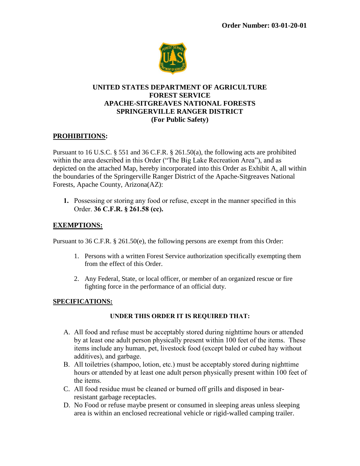

# **UNITED STATES DEPARTMENT OF AGRICULTURE FOREST SERVICE APACHE-SITGREAVES NATIONAL FORESTS SPRINGERVILLE RANGER DISTRICT (For Public Safety)**

## **PROHIBITIONS:**

Pursuant to 16 U.S.C. § 551 and 36 C.F.R. § 261.50(a), the following acts are prohibited within the area described in this Order ("The Big Lake Recreation Area"), and as depicted on the attached Map, hereby incorporated into this Order as Exhibit A, all within the boundaries of the Springerville Ranger District of the Apache-Sitgreaves National Forests, Apache County, Arizona(AZ):

**1.** Possessing or storing any food or refuse, except in the manner specified in this Order. **36 C.F.R. § 261.58 (cc).**

#### **EXEMPTIONS:**

Pursuant to 36 C.F.R. § 261.50(e), the following persons are exempt from this Order:

- 1. Persons with a written Forest Service authorization specifically exempting them from the effect of this Order.
- 2. Any Federal, State, or local officer, or member of an organized rescue or fire fighting force in the performance of an official duty.

#### **SPECIFICATIONS:**

#### **UNDER THIS ORDER IT IS REQUIRED THAT:**

- A. All food and refuse must be acceptably stored during nighttime hours or attended by at least one adult person physically present within 100 feet of the items. These items include any human, pet, livestock food (except baled or cubed hay without additives), and garbage.
- B. All toiletries (shampoo, lotion, etc.) must be acceptably stored during nighttime hours or attended by at least one adult person physically present within 100 feet of the items.
- C. All food residue must be cleaned or burned off grills and disposed in bearresistant garbage receptacles.
- D. No Food or refuse maybe present or consumed in sleeping areas unless sleeping area is within an enclosed recreational vehicle or rigid-walled camping trailer.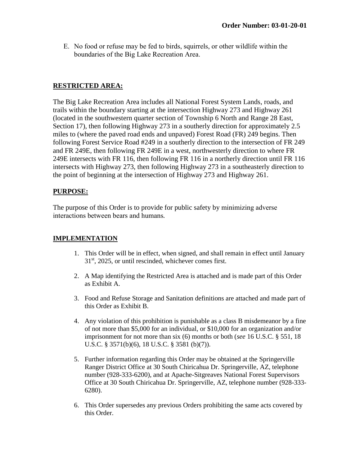E. No food or refuse may be fed to birds, squirrels, or other wildlife within the boundaries of the Big Lake Recreation Area.

## **RESTRICTED AREA:**

The Big Lake Recreation Area includes all National Forest System Lands, roads, and trails within the boundary starting at the intersection Highway 273 and Highway 261 (located in the southwestern quarter section of Township 6 North and Range 28 East, Section 17), then following Highway 273 in a southerly direction for approximately 2.5 miles to (where the paved road ends and unpaved) Forest Road (FR) 249 begins. Then following Forest Service Road #249 in a southerly direction to the intersection of FR 249 and FR 249E, then following FR 249E in a west, northwesterly direction to where FR 249E intersects with FR 116, then following FR 116 in a northerly direction until FR 116 intersects with Highway 273, then following Highway 273 in a southeasterly direction to the point of beginning at the intersection of Highway 273 and Highway 261.

## **PURPOSE:**

The purpose of this Order is to provide for public safety by minimizing adverse interactions between bears and humans*.*

# **IMPLEMENTATION**

- 1. This Order will be in effect, when signed, and shall remain in effect until January 31<sup>st</sup>, 2025, or until rescinded, whichever comes first.
- 2. A Map identifying the Restricted Area is attached and is made part of this Order as Exhibit A.
- 3. Food and Refuse Storage and Sanitation definitions are attached and made part of this Order as Exhibit B.
- 4. Any violation of this prohibition is punishable as a class B misdemeanor by a fine of not more than \$5,000 for an individual, or \$10,000 for an organization and/or imprisonment for not more than six (6) months or both (*see* 16 U.S.C. § 551, 18 U.S.C. § 3571(b)(6), 18 U.S.C. § 3581 (b)(7)).
- 5. Further information regarding this Order may be obtained at the Springerville Ranger District Office at 30 South Chiricahua Dr. Springerville, AZ, telephone number (928-333-6200), and at Apache-Sitgreaves National Forest Supervisors Office at 30 South Chiricahua Dr. Springerville, AZ, telephone number (928-333- 6280).
- 6. This Order supersedes any previous Orders prohibiting the same acts covered by this Order.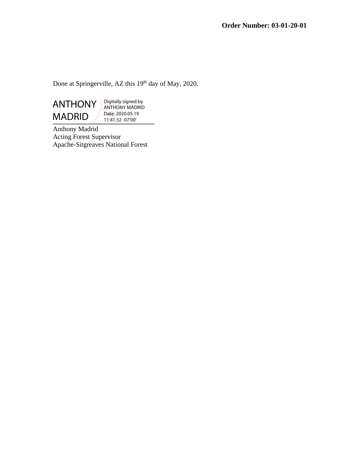Done at Springerville, AZ this 19<sup>th</sup> day of May, 2020.



Digitally signed by ANTHONY MADRID Date: 2020.05.19 11:41:32 -07'00'

Anthony Madrid Acting Forest Supervisor Apache-Sitgreaves National Forest